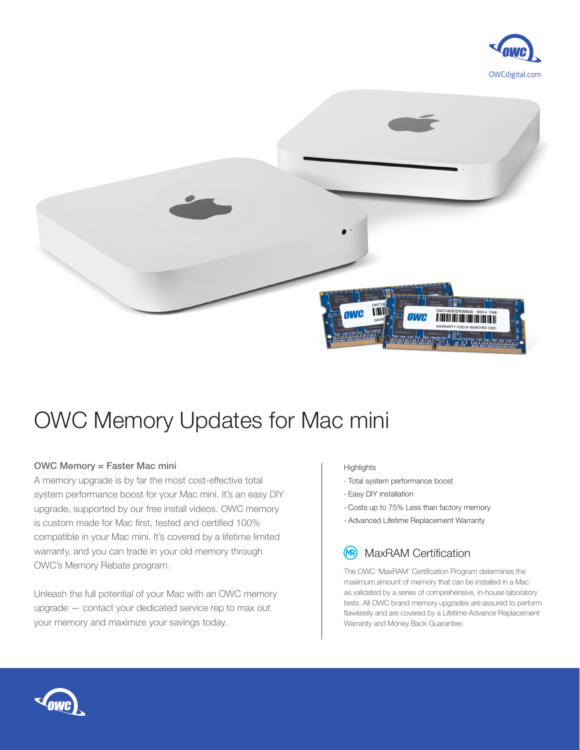



## OWC Memory Updates for Mac mini

## OWC Memory = Faster Mac mini

A memory upgrade is by far the most cost-effective total system performance boost for your Mac mini. It's an easy DIY upgrade, supported by our free install videos. OWC memory is custom made for Mac first, tested and certified 100% compatible in your Mac mini. It's covered by a lifetime limited warranty, and you can trade in your old memory through OWC's Memory Rebate program.

Unleash the full potential of your Mac with an OWC memory upgrade — contact your dedicated service rep to max out your memory and maximize your savings today.

## **Highlights**

- Total system performance boost
- Easy DIY installation
- Costs up to 75% Less than factory memory
- Advanced Lifetime Replacement Warranty

## MaxRAM Certification (MR)

The OWC 'MaxRAM' Certification Program determines the maximum amount of memory that can be installed in a Mac as validated by a series of comprehensive, in-house laboratory tests. All OWC brand memory upgrades are assured to perform flawlessly and are covered by a Lifetime Advance Replacement Warranty and Money Back Guarantee.